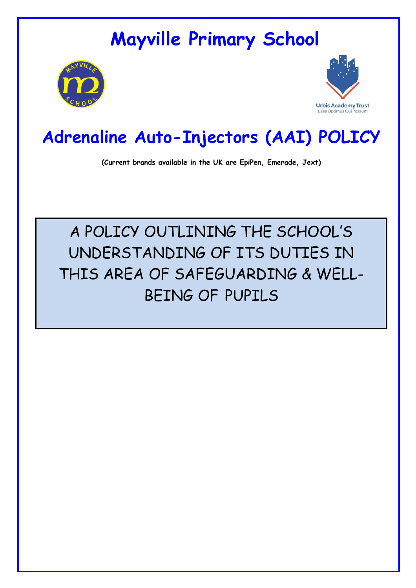# **Mayville Primary School**





## **Adrenaline Auto-Injectors (AAI) POLICY**

**(Current brands available in the UK are EpiPen, Emerade, Jext)**

# A POLICY OUTLINING THE SCHOOL'S UNDERSTANDING OF ITS DUTIES IN THIS AREA OF SAFEGUARDING & WELL-BEING OF PUPILS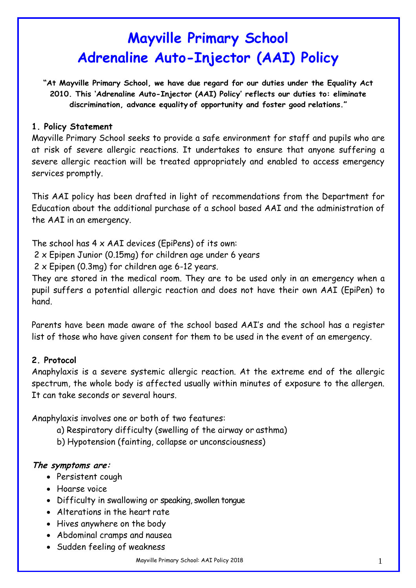## **Mayville Primary School Adrenaline Auto-Injector (AAI) Policy**

**"At Mayville Primary School, we have due regard for our duties under the Equality Act 2010. This 'Adrenaline Auto-Injector (AAI) Policy' reflects our duties to: eliminate discrimination, advance equality of opportunity and foster good relations."**

#### **1. Policy Statement**

Mayville Primary School seeks to provide a safe environment for staff and pupils who are at risk of severe allergic reactions. It undertakes to ensure that anyone suffering a severe allergic reaction will be treated appropriately and enabled to access emergency services promptly.

This AAI policy has been drafted in light of recommendations from the Department for Education about the additional purchase of a school based AAI and the administration of the AAI in an emergency.

The school has  $4 \times AAI$  devices (EpiPens) of its own:

2 x Epipen Junior (0.15mg) for children age under 6 years

2 x Epipen (0.3mg) for children age 6-12 years.

They are stored in the medical room. They are to be used only in an emergency when a pupil suffers a potential allergic reaction and does not have their own AAI (EpiPen) to hand.

Parents have been made aware of the school based AAI's and the school has a register list of those who have given consent for them to be used in the event of an emergency.

#### **2. Protocol**

Anaphylaxis is a severe systemic allergic reaction. At the extreme end of the allergic spectrum, the whole body is affected usually within minutes of exposure to the allergen. It can take seconds or several hours.

Anaphylaxis involves one or both of two features:

- a) Respiratory difficulty (swelling of the airway or asthma)
- b) Hypotension (fainting, collapse or unconsciousness)

#### **The symptoms are:**

- Persistent cough
- Hoarse voice
- Difficulty in swallowing or speaking, swollen tongue
- Alterations in the heart rate
- Hives anywhere on the body
- Abdominal cramps and nausea
- Sudden feeling of weakness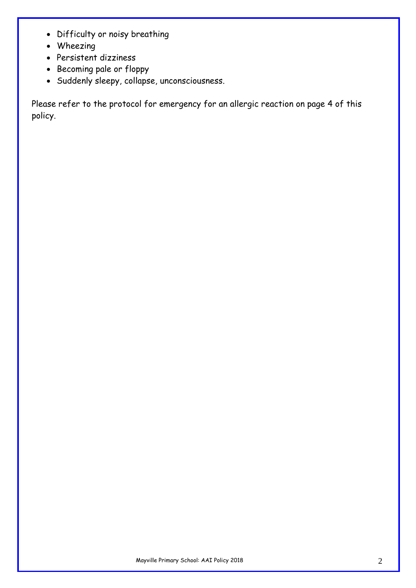- Difficulty or noisy breathing
- Wheezing
- Persistent dizziness
- Becoming pale or floppy
- Suddenly sleepy, collapse, unconsciousness.

Please refer to the protocol for emergency for an allergic reaction on page 4 of this policy.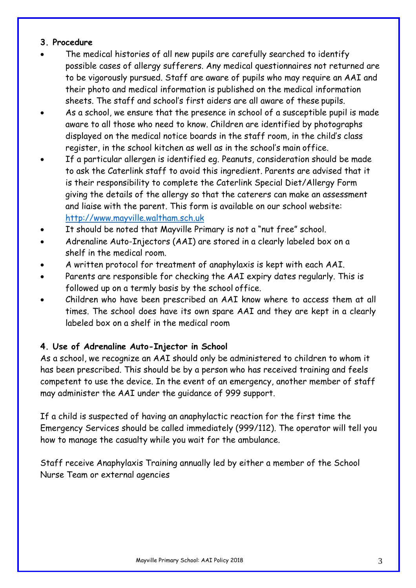#### **3. Procedure**

- The medical histories of all new pupils are carefully searched to identify possible cases of allergy sufferers. Any medical questionnaires not returned are to be vigorously pursued. Staff are aware of pupils who may require an AAI and their photo and medical information is published on the medical information sheets. The staff and school's first aiders are all aware of these pupils.
- As a school, we ensure that the presence in school of a susceptible pupil is made aware to all those who need to know. Children are identified by photographs displayed on the medical notice boards in the staff room, in the child's class register, in the school kitchen as well as in the school's main office.
- If a particular allergen is identified eg. Peanuts, consideration should be made to ask the Caterlink staff to avoid this ingredient. Parents are advised that it is their responsibility to complete the Caterlink Special Diet/Allergy Form giving the details of the allergy so that the caterers can make an assessment and liaise with the parent. This form is available on our school website: http://www.mayville.waltham.sch.uk
- It should be noted that Mayville Primary is not a "nut free" school.
- Adrenaline Auto-Injectors (AAI) are stored in a clearly labeled box on a shelf in the medical room.
- A written protocol for treatment of anaphylaxis is kept with each AAI.
- Parents are responsible for checking the AAI expiry dates regularly. This is followed up on a termly basis by the school office.
- Children who have been prescribed an AAI know where to access them at all times. The school does have its own spare AAI and they are kept in a clearly labeled box on a shelf in the medical room

#### **4. Use of Adrenaline Auto-Injector in School**

As a school, we recognize an AAI should only be administered to children to whom it has been prescribed. This should be by a person who has received training and feels competent to use the device. In the event of an emergency, another member of staff may administer the AAI under the guidance of 999 support.

If a child is suspected of having an anaphylactic reaction for the first time the Emergency Services should be called immediately (999/112). The operator will tell you how to manage the casualty while you wait for the ambulance.

Staff receive Anaphylaxis Training annually led by either a member of the School Nurse Team or external agencies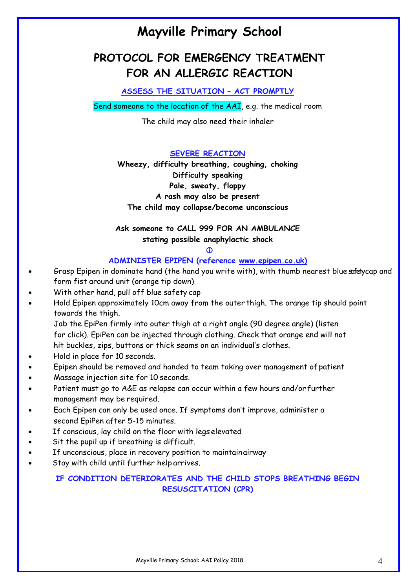### **Mayville Primary School**

### **PROTOCOL FOR EMERGENCY TREATMENT FOR AN ALLERGIC REACTION**

**ASSESS THE SITUATION – ACT PROMPTLY**

Send someone to the location of the AAI, e.g. the medical room

The child may also need their inhaler

**SEVERE REACTION**

**Wheezy, difficulty breathing, coughing, choking Difficulty speaking Pale, sweaty, floppy A rash may also be present The child may collapse/become unconscious**

**Ask someone to CALL 999 FOR AN AMBULANCE stating possible anaphylactic shock**

 $\bf \Phi$ 

#### **ADMINISTER EPIPEN (reference www.epipen.co.uk)**

- Grasp Epipen in dominate hand (the hand you write with), with thumb nearest blue safety cap and form fist around unit (orange tip down)
- With other hand, pull off blue safety cap
- Hold Epipen approximately 10cm away from the outer thigh. The orange tip should point towards the thigh.

Jab the EpiPen firmly into outer thigh at a right angle (90 degree angle) (listen for click). EpiPen can be injected through clothing. Check that orange end will not hit buckles, zips, buttons or thick seams on an individual's clothes.

- Hold in place for 10 seconds.
- Epipen should be removed and handed to team taking over management of patient
- Massage injection site for 10 seconds.
- Patient must go to A&E as relapse can occur within a few hours and/or further management may be required.
- Each Epipen can only be used once. If symptoms don't improve, administer a second EpiPen after 5-15 minutes.
- If conscious, lay child on the floor with legs elevated
- Sit the pupil up if breathing is difficult.
- If unconscious, place in recovery position to maintainairway
- Stay with child until further help arrives.

#### **IF CONDITION DETERIORATES AND THE CHILD STOPS BREATHING BEGIN RESUSCITATION (CPR)**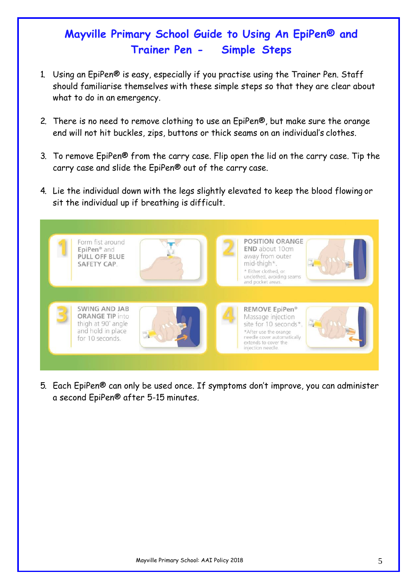### **Mayville Primary School Guide to Using An EpiPen® and Trainer Pen - Simple Steps**

- 1. Using an EpiPen® is easy, especially if you practise using the Trainer Pen. Staff should familiarise themselves with these simple steps so that they are clear about what to do in an emergency.
- 2. There is no need to remove clothing to use an EpiPen®, but make sure the orange end will not hit buckles, zips, buttons or thick seams on an individual's clothes.
- 3. To remove EpiPen® from the carry case. Flip open the lid on the carry case. Tip the carry case and slide the EpiPen® out of the carry case.
- 4. Lie the individual down with the legs slightly elevated to keep the blood flowing or sit the individual up if breathing is difficult.



5. Each EpiPen® can only be used once. If symptoms don't improve, you can administer a second EpiPen® after 5-15 minutes.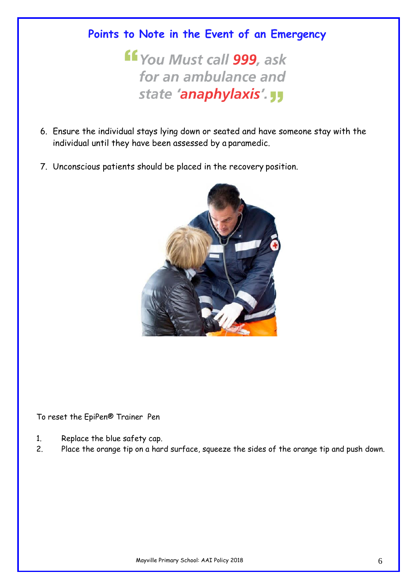### **Points to Note in the Event of an Emergency**

**ff** You Must call 999, ask for an ambulance and state 'anaphylaxis'. JJ

- 6. Ensure the individual stays lying down or seated and have someone stay with the individual until they have been assessed by a paramedic.
- 7. Unconscious patients should be placed in the recovery position.



To reset the EpiPen® Trainer Pen

- 1. Replace the blue safety cap.
- 2. Place the orange tip on a hard surface, squeeze the sides of the orange tip and push down.